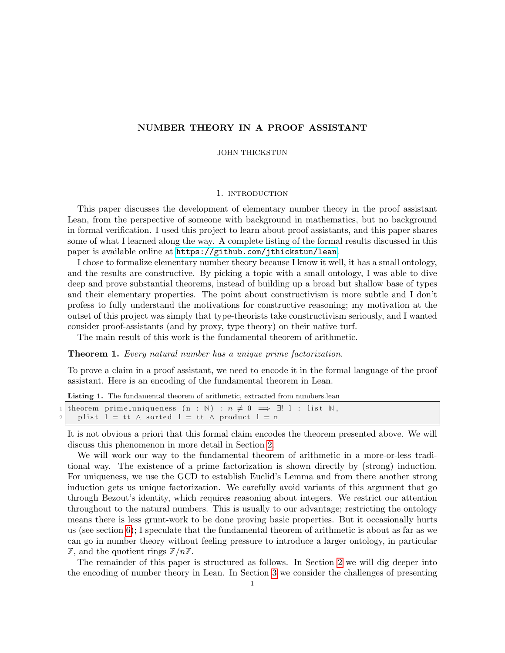# NUMBER THEORY IN A PROOF ASSISTANT

JOHN THICKSTUN

### 1. INTRODUCTION

This paper discusses the development of elementary number theory in the proof assistant Lean, from the perspective of someone with background in mathematics, but no background in formal verification. I used this project to learn about proof assistants, and this paper shares some of what I learned along the way. A complete listing of the formal results discussed in this paper is available online at <https://github.com/jthickstun/lean>.

I chose to formalize elementary number theory because I know it well, it has a small ontology, and the results are constructive. By picking a topic with a small ontology, I was able to dive deep and prove substantial theorems, instead of building up a broad but shallow base of types and their elementary properties. The point about constructivism is more subtle and I don't profess to fully understand the motivations for constructive reasoning; my motivation at the outset of this project was simply that type-theorists take constructivism seriously, and I wanted consider proof-assistants (and by proxy, type theory) on their native turf.

The main result of this work is the fundamental theorem of arithmetic.

### <span id="page-0-0"></span>Theorem 1. Every natural number has a unique prime factorization.

To prove a claim in a proof assistant, we need to encode it in the formal language of the proof assistant. Here is an encoding of the fundamental theorem in Lean.

<span id="page-0-1"></span>Listing 1. The fundamental theorem of arithmetic, extracted from numbers.lean

|  | 1 theorem prime uniqueness (n : N) : $n \neq 0 \implies \exists ! \ 1$ : list N, |  |
|--|----------------------------------------------------------------------------------|--|
|  | 2   plist 1 = tt $\land$ sorted 1 = tt $\land$ product 1 = n                     |  |

It is not obvious a priori that this formal claim encodes the theorem presented above. We will discuss this phenomenon in more detail in Section [2.](#page-1-0)

We will work our way to the fundamental theorem of arithmetic in a more-or-less traditional way. The existence of a prime factorization is shown directly by (strong) induction. For uniqueness, we use the GCD to establish Euclid's Lemma and from there another strong induction gets us unique factorization. We carefully avoid variants of this argument that go through Bezout's identity, which requires reasoning about integers. We restrict our attention throughout to the natural numbers. This is usually to our advantage; restricting the ontology means there is less grunt-work to be done proving basic properties. But it occasionally hurts us (see section [6\)](#page-8-0); I speculate that the fundamental theorem of arithmetic is about as far as we can go in number theory without feeling pressure to introduce a larger ontology, in particular  $\mathbb{Z}$ , and the quotient rings  $\mathbb{Z}/n\mathbb{Z}$ .

The remainder of this paper is structured as follows. In Section [2](#page-1-0) we will dig deeper into the encoding of number theory in Lean. In Section [3](#page-3-0) we consider the challenges of presenting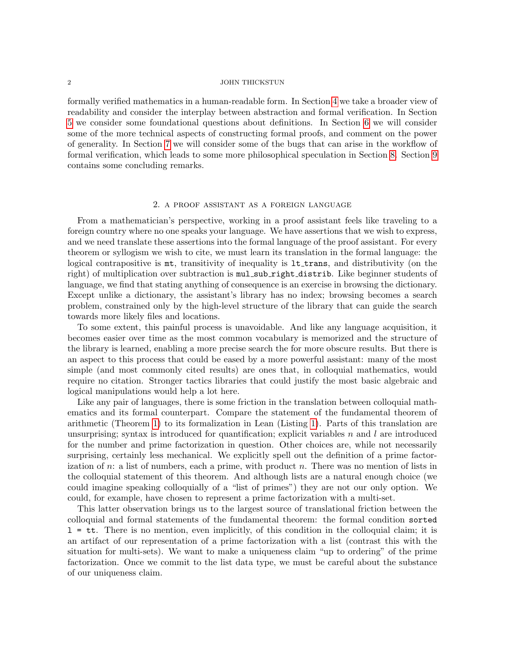formally verified mathematics in a human-readable form. In Section [4](#page-4-0) we take a broader view of readability and consider the interplay between abstraction and formal verification. In Section [5](#page-5-0) we consider some foundational questions about definitions. In Section [6](#page-8-0) we will consider some of the more technical aspects of constructing formal proofs, and comment on the power of generality. In Section [7](#page-10-0) we will consider some of the bugs that can arise in the workflow of formal verification, which leads to some more philosophical speculation in Section [8.](#page-11-0) Section [9](#page-12-0) contains some concluding remarks.

### 2. a proof assistant as a foreign language

<span id="page-1-0"></span>From a mathematician's perspective, working in a proof assistant feels like traveling to a foreign country where no one speaks your language. We have assertions that we wish to express, and we need translate these assertions into the formal language of the proof assistant. For every theorem or syllogism we wish to cite, we must learn its translation in the formal language: the logical contrapositive is  $m<sub>t</sub>$ , transitivity of inequality is  $l<sub>t</sub>$  trans, and distributivity (on the right) of multiplication over subtraction is mul sub right distrib. Like beginner students of language, we find that stating anything of consequence is an exercise in browsing the dictionary. Except unlike a dictionary, the assistant's library has no index; browsing becomes a search problem, constrained only by the high-level structure of the library that can guide the search towards more likely files and locations.

To some extent, this painful process is unavoidable. And like any language acquisition, it becomes easier over time as the most common vocabulary is memorized and the structure of the library is learned, enabling a more precise search the for more obscure results. But there is an aspect to this process that could be eased by a more powerful assistant: many of the most simple (and most commonly cited results) are ones that, in colloquial mathematics, would require no citation. Stronger tactics libraries that could justify the most basic algebraic and logical manipulations would help a lot here.

Like any pair of languages, there is some friction in the translation between colloquial mathematics and its formal counterpart. Compare the statement of the fundamental theorem of arithmetic (Theorem [1\)](#page-0-0) to its formalization in Lean (Listing [1\)](#page-0-1). Parts of this translation are unsurprising; syntax is introduced for quantification; explicit variables  $n$  and  $l$  are introduced for the number and prime factorization in question. Other choices are, while not necessarily surprising, certainly less mechanical. We explicitly spell out the definition of a prime factorization of  $n:$  a list of numbers, each a prime, with product n. There was no mention of lists in the colloquial statement of this theorem. And although lists are a natural enough choice (we could imagine speaking colloquially of a "list of primes") they are not our only option. We could, for example, have chosen to represent a prime factorization with a multi-set.

This latter observation brings us to the largest source of translational friction between the colloquial and formal statements of the fundamental theorem: the formal condition sorted l = tt. There is no mention, even implicitly, of this condition in the colloquial claim; it is an artifact of our representation of a prime factorization with a list (contrast this with the situation for multi-sets). We want to make a uniqueness claim "up to ordering" of the prime factorization. Once we commit to the list data type, we must be careful about the substance of our uniqueness claim.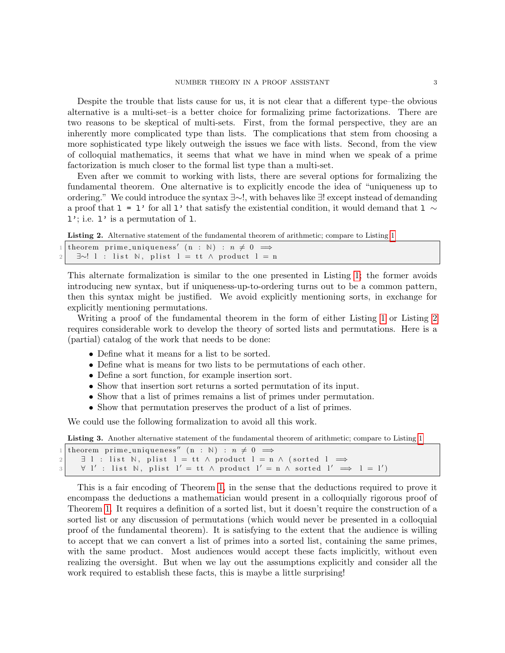Despite the trouble that lists cause for us, it is not clear that a different type–the obvious alternative is a multi-set–is a better choice for formalizing prime factorizations. There are two reasons to be skeptical of multi-sets. First, from the formal perspective, they are an inherently more complicated type than lists. The complications that stem from choosing a more sophisticated type likely outweigh the issues we face with lists. Second, from the view of colloquial mathematics, it seems that what we have in mind when we speak of a prime factorization is much closer to the formal list type than a multi-set.

Even after we commit to working with lists, there are several options for formalizing the fundamental theorem. One alternative is to explicitly encode the idea of "uniqueness up to ordering." We could introduce the syntax ∃∼!, with behaves like ∃! except instead of demanding a proof that 1 = 1' for all 1' that satisfy the existential condition, it would demand that 1  $\sim$  $1$ '; i.e.  $1$ ' is a permutation of 1.

<span id="page-2-0"></span>Listing 2. Alternative statement of the fundamental theorem of arithmetic; compare to Listing [1](#page-0-1)

```
1 theorem prime_uniqueness' (n : N) : n \neq 0 \implies\exists \sim ! \; l : \; list \; \mathbb{N}, \; \text{plist} \; l = \text{tt} \; \wedge \; \text{product} \; l = n
```
This alternate formalization is similar to the one presented in Listing [1;](#page-0-1) the former avoids introducing new syntax, but if uniqueness-up-to-ordering turns out to be a common pattern, then this syntax might be justified. We avoid explicitly mentioning sorts, in exchange for explicitly mentioning permutations.

Writing a proof of the fundamental theorem in the form of either Listing [1](#page-0-1) or Listing [2](#page-2-0) requires considerable work to develop the theory of sorted lists and permutations. Here is a (partial) catalog of the work that needs to be done:

- Define what it means for a list to be sorted.
- Define what is means for two lists to be permutations of each other.
- Define a sort function, for example insertion sort.
- Show that insertion sort returns a sorted permutation of its input.
- Show that a list of primes remains a list of primes under permutation.
- Show that permutation preserves the product of a list of primes.

<span id="page-2-1"></span>We could use the following formalization to avoid all this work.

Listing 3. Another alternative statement of the fundamental theorem of arithmetic; compare to Listing [1](#page-0-1)

```
1 theorem prime_uniqueness" (n : N) : n \neq 0 \implies2 \exists l : list N, plist l = tt \land product l = n \land (sorted l \implies3 \forall 1': list N, plist 1' = tt \land product 1' = n \land sorted 1' \implies 1 = 1')
```
This is a fair encoding of Theorem [1,](#page-0-0) in the sense that the deductions required to prove it encompass the deductions a mathematician would present in a colloquially rigorous proof of Theorem [1.](#page-0-0) It requires a definition of a sorted list, but it doesn't require the construction of a sorted list or any discussion of permutations (which would never be presented in a colloquial proof of the fundamental theorem). It is satisfying to the extent that the audience is willing to accept that we can convert a list of primes into a sorted list, containing the same primes, with the same product. Most audiences would accept these facts implicitly, without even realizing the oversight. But when we lay out the assumptions explicitly and consider all the work required to establish these facts, this is maybe a little surprising!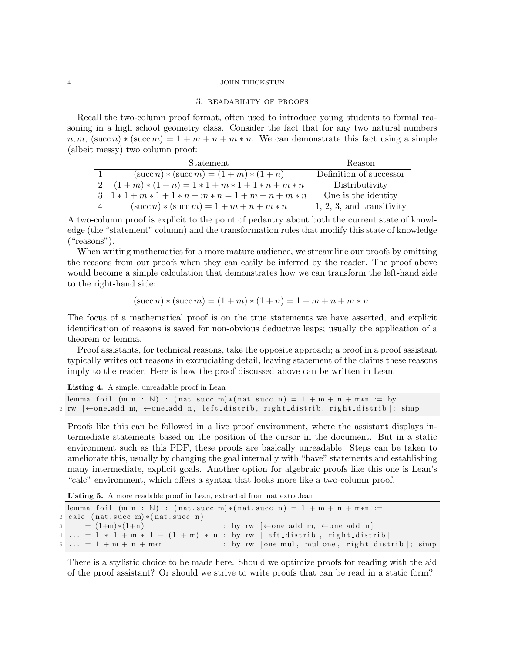#### 3. readability of proofs

<span id="page-3-0"></span>Recall the two-column proof format, often used to introduce young students to formal reasoning in a high school geometry class. Consider the fact that for any two natural numbers  $n, m,$  (succ n)  $*$  (succ m) = 1 + m + n + m  $*$  n. We can demonstrate this fact using a simple (albeit messy) two column proof:

|   | Statement                                                 | Reason                       |
|---|-----------------------------------------------------------|------------------------------|
|   | $(\text{succ } n) * (\text{succ } m) = (1 + m) * (1 + n)$ | Definition of successor      |
|   | $2   (1+m)*(1+n) = 1*1+m*1+1*n+m*n$                       | Distributivity               |
|   | $3 1 * 1 + m * 1 + 1 * n + m * n = 1 + m + n + m * n$     | One is the identity          |
| 4 | $(\text{succ } n) * (\text{succ } m) = 1 + m + n + m * n$ | $1, 2, 3$ , and transitivity |

A two-column proof is explicit to the point of pedantry about both the current state of knowledge (the "statement" column) and the transformation rules that modify this state of knowledge ("reasons").

When writing mathematics for a more mature audience, we streamline our proofs by omitting the reasons from our proofs when they can easily be inferred by the reader. The proof above would become a simple calculation that demonstrates how we can transform the left-hand side to the right-hand side:

$$
(\text{succ } n) * (\text{succ } m) = (1 + m) * (1 + n) = 1 + m + n + m * n.
$$

The focus of a mathematical proof is on the true statements we have asserted, and explicit identification of reasons is saved for non-obvious deductive leaps; usually the application of a theorem or lemma.

Proof assistants, for technical reasons, take the opposite approach; a proof in a proof assistant typically writes out reasons in excruciating detail, leaving statement of the claims these reasons imply to the reader. Here is how the proof discussed above can be written in Lean.

Listing 4. A simple, unreadable proof in Lean

```
lemma foil (m n : \mathbb{N}): (nat.succ m)*(nat.succ n) = 1 + m + n + m*n := by2 rw [←one_add m, ←one_add n, left_distrib, right_distrib, right_distrib]; simp
```
Proofs like this can be followed in a live proof environment, where the assistant displays intermediate statements based on the position of the cursor in the document. But in a static environment such as this PDF, these proofs are basically unreadable. Steps can be taken to ameliorate this, usually by changing the goal internally with "have" statements and establishing many intermediate, explicit goals. Another option for algebraic proofs like this one is Lean's "calc" environment, which offers a syntax that looks more like a two-column proof.

Listing 5. A more readable proof in Lean, extracted from nat extra.lean

```
lemma foil (m n : \mathbb{N}): (nat \cdot succ m)*(nat \cdot succ n) = 1 + m + n + m*n :=2 \vert calc (nat. succ m) * (nat. succ n)
3 = (1+m)*(1+n) : by rw [←one_add m, ←one_add n]
  \ldots = 1 * 1 + m * 1 + (1 + m) * n: by rw [left_distrib, right_distrib]
     = 1 + m + n + m * n : by rw [one_mul, mul_one, right_distrib]; simp
```
There is a stylistic choice to be made here. Should we optimize proofs for reading with the aid of the proof assistant? Or should we strive to write proofs that can be read in a static form?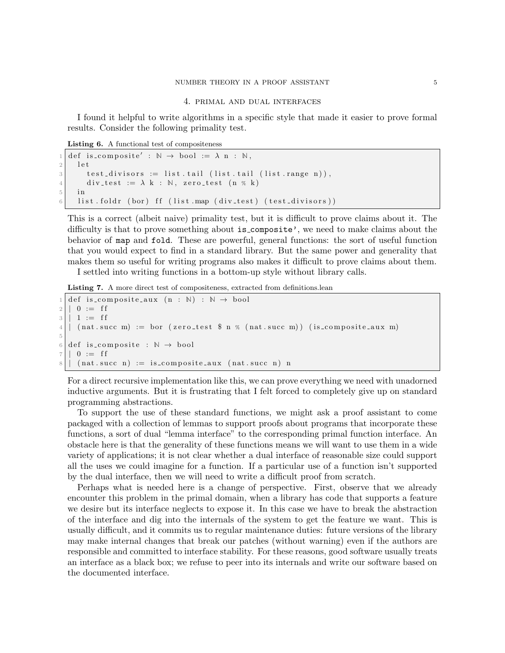### 4. primal and dual interfaces

<span id="page-4-0"></span>I found it helpful to write algorithms in a specific style that made it easier to prove formal results. Consider the following primality test.

Listing 6. A functional test of compositeness

```
1 \mid \text{def is\_composite'} : \mathbb{N} \to \text{bool} := \lambda \text{ n : } \mathbb{N},2 let
3 test_divisors := list.tail (list.tail (list.range n)),
4 div_test := \lambda k : \mathbb{N}, zero_test (n % k)
5 in
6 list . foldr (bor) ff (list . map (div_test) (test_divisors))
```
This is a correct (albeit naive) primality test, but it is difficult to prove claims about it. The difficulty is that to prove something about is composite', we need to make claims about the behavior of map and fold. These are powerful, general functions: the sort of useful function that you would expect to find in a standard library. But the same power and generality that makes them so useful for writing programs also makes it difficult to prove claims about them. I settled into writing functions in a bottom-up style without library calls.

<span id="page-4-1"></span>

Listing 7. A more direct test of compositeness, extracted from definitions.lean

```
def is_composite_aux (n : \mathbb{N}) : \mathbb{N} \to \text{bool}2 \mid 0 := ff3 \mid 1 := \text{ff}4 \mid (nat succ m) := bor (zero_test \text{\$ n \%} (nat succ m)) (is_composite_aux m)
5
6 def is_composite : \mathbb{N} \to \text{bool}7 | 0 := ff(nat.succ n) := is-composite.au x (nat.succ n) n
```
For a direct recursive implementation like this, we can prove everything we need with unadorned inductive arguments. But it is frustrating that I felt forced to completely give up on standard programming abstractions.

To support the use of these standard functions, we might ask a proof assistant to come packaged with a collection of lemmas to support proofs about programs that incorporate these functions, a sort of dual "lemma interface" to the corresponding primal function interface. An obstacle here is that the generality of these functions means we will want to use them in a wide variety of applications; it is not clear whether a dual interface of reasonable size could support all the uses we could imagine for a function. If a particular use of a function isn't supported by the dual interface, then we will need to write a difficult proof from scratch.

Perhaps what is needed here is a change of perspective. First, observe that we already encounter this problem in the primal domain, when a library has code that supports a feature we desire but its interface neglects to expose it. In this case we have to break the abstraction of the interface and dig into the internals of the system to get the feature we want. This is usually difficult, and it commits us to regular maintenance duties: future versions of the library may make internal changes that break our patches (without warning) even if the authors are responsible and committed to interface stability. For these reasons, good software usually treats an interface as a black box; we refuse to peer into its internals and write our software based on the documented interface.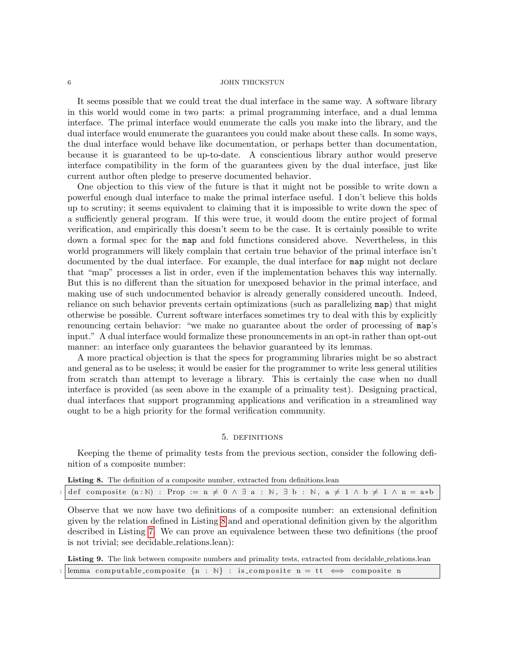It seems possible that we could treat the dual interface in the same way. A software library in this world would come in two parts: a primal programming interface, and a dual lemma interface. The primal interface would enumerate the calls you make into the library, and the dual interface would enumerate the guarantees you could make about these calls. In some ways, the dual interface would behave like documentation, or perhaps better than documentation, because it is guaranteed to be up-to-date. A conscientious library author would preserve interface compatibility in the form of the guarantees given by the dual interface, just like current author often pledge to preserve documented behavior.

One objection to this view of the future is that it might not be possible to write down a powerful enough dual interface to make the primal interface useful. I don't believe this holds up to scrutiny; it seems equivalent to claiming that it is impossible to write down the spec of a sufficiently general program. If this were true, it would doom the entire project of formal verification, and empirically this doesn't seem to be the case. It is certainly possible to write down a formal spec for the map and fold functions considered above. Nevertheless, in this world programmers will likely complain that certain true behavior of the primal interface isn't documented by the dual interface. For example, the dual interface for map might not declare that "map" processes a list in order, even if the implementation behaves this way internally. But this is no different than the situation for unexposed behavior in the primal interface, and making use of such undocumented behavior is already generally considered uncouth. Indeed, reliance on such behavior prevents certain optimizations (such as parallelizing map) that might otherwise be possible. Current software interfaces sometimes try to deal with this by explicitly renouncing certain behavior: "we make no guarantee about the order of processing of map's input." A dual interface would formalize these pronouncements in an opt-in rather than opt-out manner: an interface only guarantees the behavior guaranteed by its lemmas.

A more practical objection is that the specs for programming libraries might be so abstract and general as to be useless; it would be easier for the programmer to write less general utilities from scratch than attempt to leverage a library. This is certainly the case when no duall interface is provided (as seen above in the example of a primality test). Designing practical, dual interfaces that support programming applications and verification in a streamlined way ought to be a high priority for the formal verification community.

### 5. definitions

<span id="page-5-0"></span>Keeping the theme of primality tests from the previous section, consider the following definition of a composite number:

<span id="page-5-1"></span>Listing 8. The definition of a composite number, extracted from definitions.lean

|  | $1   \text{def composite } (n : \mathbb{N}) : \text{Prop} := n \neq 0 \land \exists \text{ a : \mathbb{N}, \exists \text{ b : \mathbb{N}, a \neq 1} \land \text{ b \neq 1} \land n = a * b$ |  |  |  |  |  |  |  |  |  |  |  |  |  |  |  |  |  |  |
|--|---------------------------------------------------------------------------------------------------------------------------------------------------------------------------------------------|--|--|--|--|--|--|--|--|--|--|--|--|--|--|--|--|--|--|
|--|---------------------------------------------------------------------------------------------------------------------------------------------------------------------------------------------|--|--|--|--|--|--|--|--|--|--|--|--|--|--|--|--|--|--|

Observe that we now have two definitions of a composite number: an extensional definition given by the relation defined in Listing [8](#page-5-1) and and operational definition given by the algorithm described in Listing [7.](#page-4-1) We can prove an equivalence between these two definitions (the proof is not trivial; see decidable relations.lean):

<span id="page-5-2"></span>Listing 9. The link between composite numbers and primality tests, extracted from decidable relations. Lean

 $1$ emma computable\_composite {n :  $\mathbb{N}$ } : is\_composite n = tt  $\iff$  composite n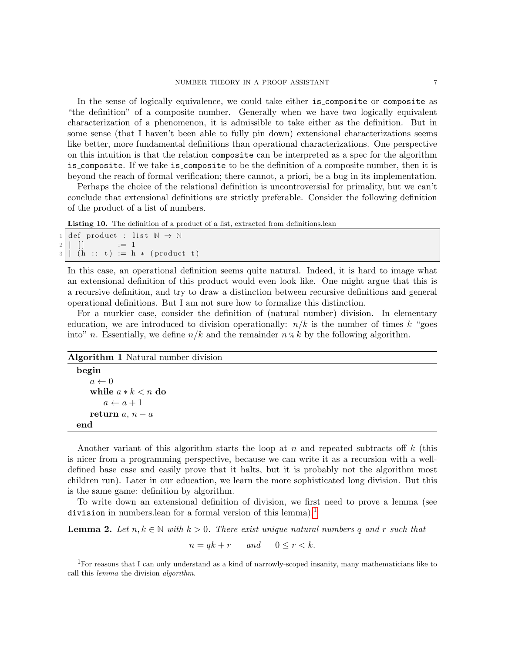In the sense of logically equivalence, we could take either is composite or composite as "the definition" of a composite number. Generally when we have two logically equivalent characterization of a phenomenon, it is admissible to take either as the definition. But in some sense (that I haven't been able to fully pin down) extensional characterizations seems like better, more fundamental definitions than operational characterizations. One perspective on this intuition is that the relation composite can be interpreted as a spec for the algorithm is composite. If we take is composite to be the definition of a composite number, then it is beyond the reach of formal verification; there cannot, a priori, be a bug in its implementation.

Perhaps the choice of the relational definition is uncontroversial for primality, but we can't conclude that extensional definitions are strictly preferable. Consider the following definition of the product of a list of numbers.

Listing 10. The definition of a product of a list, extracted from definitions. lean

```
def product : list \mathbb{N} \to \mathbb{N}2 \begin{bmatrix} 1 \\ 1 \end{bmatrix} := 1
3 \mid (\text{h} :: \text{t}) := \text{h} * (\text{product} \space t)
```
In this case, an operational definition seems quite natural. Indeed, it is hard to image what an extensional definition of this product would even look like. One might argue that this is a recursive definition, and try to draw a distinction between recursive definitions and general operational definitions. But I am not sure how to formalize this distinction.

For a murkier case, consider the definition of (natural number) division. In elementary education, we are introduced to division operationally:  $n/k$  is the number of times k "goes" into" n. Essentially, we define  $n/k$  and the remainder  $n \times k$  by the following algorithm.

## Algorithm 1 Natural number division

begin  $a \leftarrow 0$ while  $a * k < n$  do  $a \leftarrow a + 1$ return  $a, n - a$ end

Another variant of this algorithm starts the loop at n and repeated subtracts off  $k$  (this is nicer from a programming perspective, because we can write it as a recursion with a welldefined base case and easily prove that it halts, but it is probably not the algorithm most children run). Later in our education, we learn the more sophisticated long division. But this is the same game: definition by algorithm.

To write down an extensional definition of division, we first need to prove a lemma (see division in numbers. lean for a formal version of this lemma).<sup>[1](#page-6-0)</sup>

<span id="page-6-1"></span>**Lemma 2.** Let  $n, k \in \mathbb{N}$  with  $k > 0$ . There exist unique natural numbers q and r such that

$$
n = qk + r \qquad and \qquad 0 \le r < k.
$$

<span id="page-6-0"></span><sup>&</sup>lt;sup>1</sup>For reasons that I can only understand as a kind of narrowly-scoped insanity, many mathematicians like to call this lemma the division algorithm.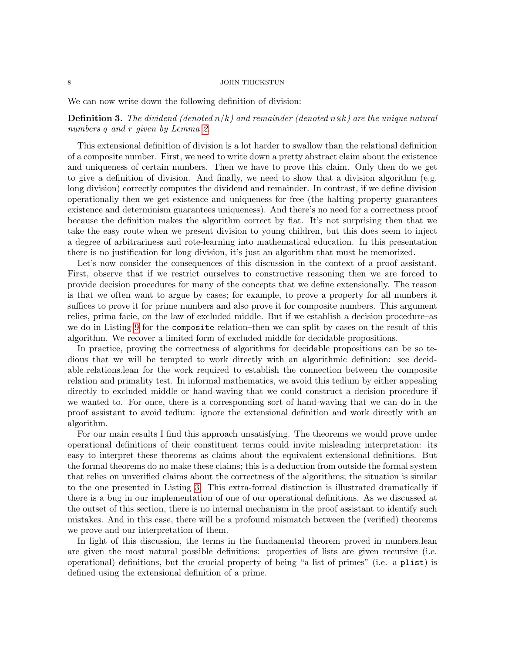We can now write down the following definition of division:

**Definition 3.** The dividend (denoted  $n/k$ ) and remainder (denoted  $n*k$ ) are the unique natural numbers q and r given by Lemma [2.](#page-6-1)

This extensional definition of division is a lot harder to swallow than the relational definition of a composite number. First, we need to write down a pretty abstract claim about the existence and uniqueness of certain numbers. Then we have to prove this claim. Only then do we get to give a definition of division. And finally, we need to show that a division algorithm (e.g. long division) correctly computes the dividend and remainder. In contrast, if we define division operationally then we get existence and uniqueness for free (the halting property guarantees existence and determinism guarantees uniqueness). And there's no need for a correctness proof because the definition makes the algorithm correct by fiat. It's not surprising then that we take the easy route when we present division to young children, but this does seem to inject a degree of arbitrariness and rote-learning into mathematical education. In this presentation there is no justification for long division, it's just an algorithm that must be memorized.

Let's now consider the consequences of this discussion in the context of a proof assistant. First, observe that if we restrict ourselves to constructive reasoning then we are forced to provide decision procedures for many of the concepts that we define extensionally. The reason is that we often want to argue by cases; for example, to prove a property for all numbers it suffices to prove it for prime numbers and also prove it for composite numbers. This argument relies, prima facie, on the law of excluded middle. But if we establish a decision procedure–as we do in Listing [9](#page-5-2) for the composite relation–then we can split by cases on the result of this algorithm. We recover a limited form of excluded middle for decidable propositions.

In practice, proving the correctness of algorithms for decidable propositions can be so tedious that we will be tempted to work directly with an algorithmic definition: see decidable relations.lean for the work required to establish the connection between the composite relation and primality test. In informal mathematics, we avoid this tedium by either appealing directly to excluded middle or hand-waving that we could construct a decision procedure if we wanted to. For once, there is a corresponding sort of hand-waving that we can do in the proof assistant to avoid tedium: ignore the extensional definition and work directly with an algorithm.

For our main results I find this approach unsatisfying. The theorems we would prove under operational definitions of their constituent terms could invite misleading interpretation: its easy to interpret these theorems as claims about the equivalent extensional definitions. But the formal theorems do no make these claims; this is a deduction from outside the formal system that relies on unverified claims about the correctness of the algorithms; the situation is similar to the one presented in Listing [3.](#page-2-1) This extra-formal distinction is illustrated dramatically if there is a bug in our implementation of one of our operational definitions. As we discussed at the outset of this section, there is no internal mechanism in the proof assistant to identify such mistakes. And in this case, there will be a profound mismatch between the (verified) theorems we prove and our interpretation of them.

In light of this discussion, the terms in the fundamental theorem proved in numbers.lean are given the most natural possible definitions: properties of lists are given recursive (i.e. operational) definitions, but the crucial property of being "a list of primes" (i.e. a plist) is defined using the extensional definition of a prime.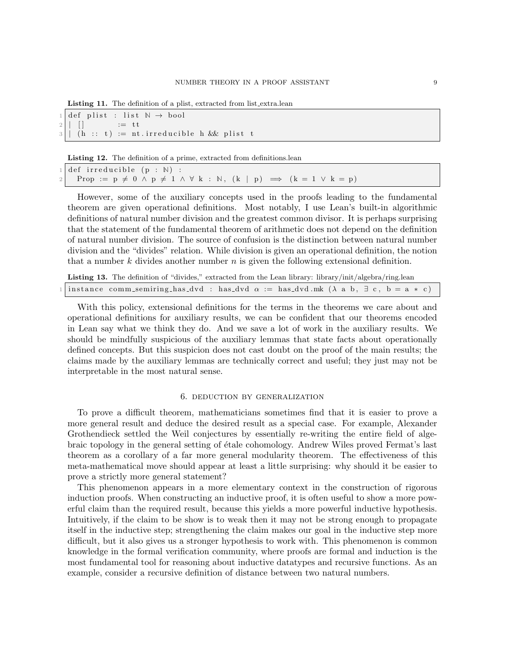$1$  def plist : list  $\mathbb{N} \to \text{bool}$  $2 \mid | \cdot | \cdot |$  := tt  $3 \mid$  (h :: t) := nt.irreducible h && plist t

Listing 12. The definition of a prime, extracted from definitions.lean

| $1$ def irreducible (p : N) : |  |                                                                                                         |
|-------------------------------|--|---------------------------------------------------------------------------------------------------------|
|                               |  | $2$ Prop := $p \neq 0 \land p \neq 1 \land \forall k : \mathbb{N}, (k   p) \implies (k = 1 \lor k = p)$ |

However, some of the auxiliary concepts used in the proofs leading to the fundamental theorem are given operational definitions. Most notably, I use Lean's built-in algorithmic definitions of natural number division and the greatest common divisor. It is perhaps surprising that the statement of the fundamental theorem of arithmetic does not depend on the definition of natural number division. The source of confusion is the distinction between natural number division and the "divides" relation. While division is given an operational definition, the notion that a number k divides another number  $n$  is given the following extensional definition.

|  | Listing 13. The definition of "divides," extracted from the Lean library: library/init/algebra/ring.lean   |  |  |  |  |  |  |
|--|------------------------------------------------------------------------------------------------------------|--|--|--|--|--|--|
|  | 1 instance comm_semiring_has_dvd : has_dvd $\alpha :=$ has_dvd mk ( $\lambda$ a b, $\exists$ c, b = a * c) |  |  |  |  |  |  |

With this policy, extensional definitions for the terms in the theorems we care about and operational definitions for auxiliary results, we can be confident that our theorems encoded in Lean say what we think they do. And we save a lot of work in the auxiliary results. We should be mindfully suspicious of the auxiliary lemmas that state facts about operationally defined concepts. But this suspicion does not cast doubt on the proof of the main results; the claims made by the auxiliary lemmas are technically correct and useful; they just may not be interpretable in the most natural sense.

### 6. deduction by generalization

<span id="page-8-0"></span>To prove a difficult theorem, mathematicians sometimes find that it is easier to prove a more general result and deduce the desired result as a special case. For example, Alexander Grothendieck settled the Weil conjectures by essentially re-writing the entire field of algebraic topology in the general setting of étale cohomology. Andrew Wiles proved Fermat's last theorem as a corollary of a far more general modularity theorem. The effectiveness of this meta-mathematical move should appear at least a little surprising: why should it be easier to prove a strictly more general statement?

This phenomenon appears in a more elementary context in the construction of rigorous induction proofs. When constructing an inductive proof, it is often useful to show a more powerful claim than the required result, because this yields a more powerful inductive hypothesis. Intuitively, if the claim to be show is to weak then it may not be strong enough to propagate itself in the inductive step; strengthening the claim makes our goal in the inductive step more difficult, but it also gives us a stronger hypothesis to work with. This phenomenon is common knowledge in the formal verification community, where proofs are formal and induction is the most fundamental tool for reasoning about inductive datatypes and recursive functions. As an example, consider a recursive definition of distance between two natural numbers.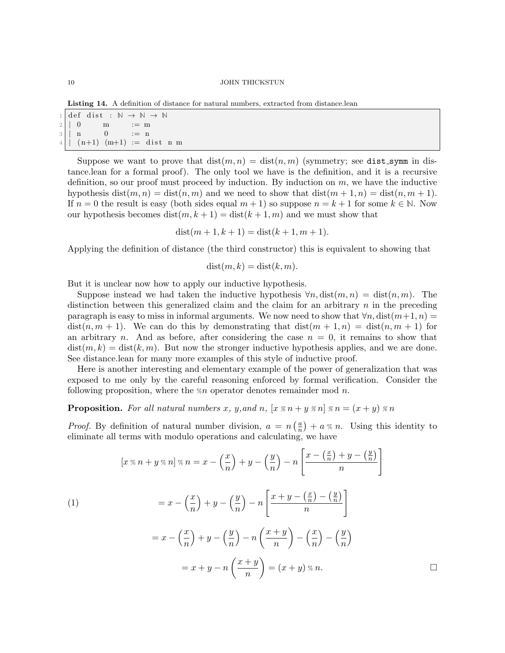Listing 14. A definition of distance for natural numbers, extracted from distance.lean

 $def dist: \mathbb{N} \to \mathbb{N} \to \mathbb{N}$  $2 \mid 0 \qquad m \qquad := m$  $3 \mid n \mid 0 \quad \mathfrak{i} = n$  $4 \mid (n+1)$   $(m+1) := \text{dist } n m$ 

Suppose we want to prove that  $dist(m, n) = dist(n, m)$  (symmetry; see dist\_symm in distance.lean for a formal proof). The only tool we have is the definition, and it is a recursive definition, so our proof must proceed by induction. By induction on  $m$ , we have the inductive hypothesis dist $(m, n) = \text{dist}(n, m)$  and we need to show that  $\text{dist}(m + 1, n) = \text{dist}(n, m + 1)$ . If  $n = 0$  the result is easy (both sides equal  $m + 1$ ) so suppose  $n = k + 1$  for some  $k \in \mathbb{N}$ . Now our hypothesis becomes  $dist(m, k + 1) = dist(k + 1, m)$  and we must show that

$$
dist(m + 1, k + 1) = dist(k + 1, m + 1).
$$

Applying the definition of distance (the third constructor) this is equivalent to showing that

$$
dist(m, k) = dist(k, m).
$$

But it is unclear now how to apply our inductive hypothesis.

Suppose instead we had taken the inductive hypothesis  $\forall n$ , dist $(m, n) = \text{dist}(n, m)$ . The distinction between this generalized claim and the claim for an arbitrary  $n$  in the preceding paragraph is easy to miss in informal arguments. We now need to show that  $\forall n$ , dist $(m+1, n)$  $dist(n, m + 1)$ . We can do this by demonstrating that  $dist(m + 1, n) = dist(n, m + 1)$  for an arbitrary n. And as before, after considering the case  $n = 0$ , it remains to show that  $dist(m, k) = dist(k, m)$ . But now the stronger inductive hypothesis applies, and we are done. See distance.lean for many more examples of this style of inductive proof.

Here is another interesting and elementary example of the power of generalization that was exposed to me only by the careful reasoning enforced by formal verification. Consider the following proposition, where the  $\%n$  operator denotes remainder mod n.

**Proposition.** For all natural numbers x, y, and n,  $[x \times n + y \times n] \times n = (x + y) \times n$ 

*Proof.* By definition of natural number division,  $a = n\left(\frac{a}{n}\right)$  $\left(\frac{a}{n}\right) + a \times n$ . Using this identity to eliminate all terms with modulo operations and calculating, we have

$$
[x\%n + y\%n]\%n = x - \left(\frac{x}{n}\right) + y - \left(\frac{y}{n}\right) - n\left[\frac{x - \left(\frac{x}{n}\right) + y - \left(\frac{y}{n}\right)}{n}\right]
$$
  

$$
= x - \left(\frac{x}{n}\right) + y - \left(\frac{y}{n}\right) - n\left[\frac{x + y - \left(\frac{x}{n}\right) - \left(\frac{y}{n}\right)}{n}\right]
$$
  

$$
= x - \left(\frac{x}{n}\right) + y - \left(\frac{y}{n}\right) - n\left(\frac{x + y}{n}\right) - \left(\frac{x}{n}\right) - \left(\frac{y}{n}\right)
$$
  

$$
= x + y - n\left(\frac{x + y}{n}\right) = (x + y)\%n.
$$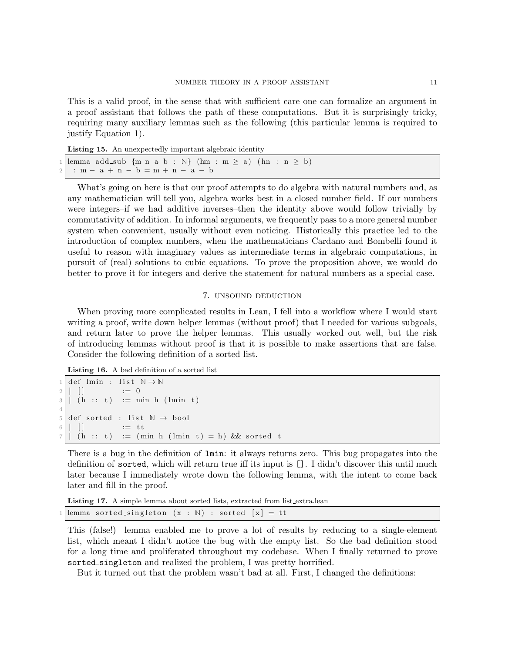This is a valid proof, in the sense that with sufficient care one can formalize an argument in a proof assistant that follows the path of these computations. But it is surprisingly tricky, requiring many auxiliary lemmas such as the following (this particular lemma is required to justify Equation 1).

Listing 15. An unexpectedly important algebraic identity

```
lemma add_sub \{m \; n \; a \; b \; : \; \mathbb{N}\}\ (\text{hm} \; : \; m \geq a) (\text{hn} \; : \; n \geq b): m - a + n - b = m + n - a - b
```
What's going on here is that our proof attempts to do algebra with natural numbers and, as any mathematician will tell you, algebra works best in a closed number field. If our numbers were integers–if we had additive inverses–then the identity above would follow trivially by commutativity of addition. In informal arguments, we frequently pass to a more general number system when convenient, usually without even noticing. Historically this practice led to the introduction of complex numbers, when the mathematicians Cardano and Bombelli found it useful to reason with imaginary values as intermediate terms in algebraic computations, in pursuit of (real) solutions to cubic equations. To prove the proposition above, we would do better to prove it for integers and derive the statement for natural numbers as a special case.

### 7. unsound deduction

<span id="page-10-0"></span>When proving more complicated results in Lean, I fell into a workflow where I would start writing a proof, write down helper lemmas (without proof) that I needed for various subgoals, and return later to prove the helper lemmas. This usually worked out well, but the risk of introducing lemmas without proof is that it is possible to make assertions that are false. Consider the following definition of a sorted list.

Listing 16. A bad definition of a sorted list

```
def \; \text{lmin} : \; \text{list} \; \mathbb{N} \to \mathbb{N}2 \begin{bmatrix} 1 \\ 1 \end{bmatrix} := 0
3 \mid (h : : t) := \min h (\text{lmin } t)4
5 def sorted : list \mathbb{N} \to \text{bool}6 | [ ] := tt
7 \vert \vert (h :: t) := (min h (lmin t) = h) & sorted t
```
There is a bug in the definition of lmin: it always returns zero. This bug propagates into the definition of sorted, which will return true iff its input is []. I didn't discover this until much later because I immediately wrote down the following lemma, with the intent to come back later and fill in the proof.

Listing 17. A simple lemma about sorted lists, extracted from list\_extra.lean

 $1$ emma s orted\_sing leton  $(x : \mathbb{N})$  : sorted  $[x] =$  tt

This (false!) lemma enabled me to prove a lot of results by reducing to a single-element list, which meant I didn't notice the bug with the empty list. So the bad definition stood for a long time and proliferated throughout my codebase. When I finally returned to prove sorted singleton and realized the problem, I was pretty horrified.

But it turned out that the problem wasn't bad at all. First, I changed the definitions: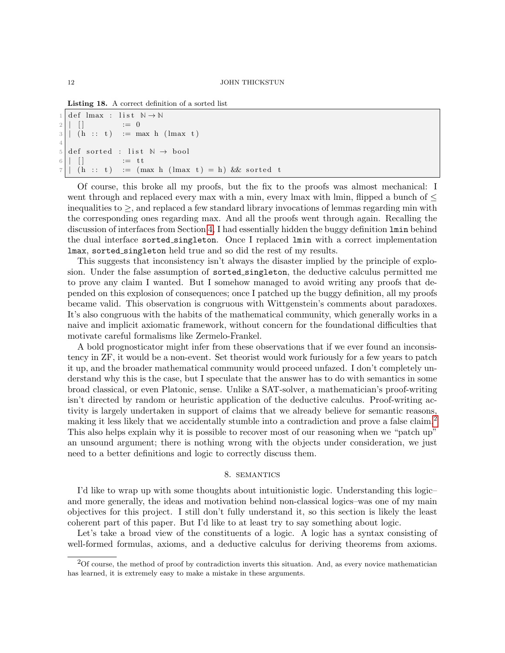Listing 18. A correct definition of a sorted list

```
def lmax : list \mathbb{N} \to \mathbb{N}2 \mid | \quad | \quad | \quad | \quad | \quad | \quad | \quad |(h :: t) := \max h (\max t)4
   def sorted : list \mathbb{N} \to \text{bool}6 | | \qquad \qquad := \text{tt}(h :: t) := (max h (max t) = h) & sorted t
```
Of course, this broke all my proofs, but the fix to the proofs was almost mechanical: I went through and replaced every max with a min, every lmax with lmin, flipped a bunch of  $\leq$ inequalities to  $\geq$ , and replaced a few standard library invocations of lemmas regarding min with the corresponding ones regarding max. And all the proofs went through again. Recalling the discussion of interfaces from Section [4,](#page-4-0) I had essentially hidden the buggy definition lmin behind the dual interface sorted singleton. Once I replaced lmin with a correct implementation lmax, sorted\_singleton held true and so did the rest of my results.

This suggests that inconsistency isn't always the disaster implied by the principle of explosion. Under the false assumption of sorted singleton, the deductive calculus permitted me to prove any claim I wanted. But I somehow managed to avoid writing any proofs that depended on this explosion of consequences; once I patched up the buggy definition, all my proofs became valid. This observation is congruous with Wittgenstein's comments about paradoxes. It's also congruous with the habits of the mathematical community, which generally works in a naive and implicit axiomatic framework, without concern for the foundational difficulties that motivate careful formalisms like Zermelo-Frankel.

A bold prognosticator might infer from these observations that if we ever found an inconsistency in ZF, it would be a non-event. Set theorist would work furiously for a few years to patch it up, and the broader mathematical community would proceed unfazed. I don't completely understand why this is the case, but I speculate that the answer has to do with semantics in some broad classical, or even Platonic, sense. Unlike a SAT-solver, a mathematician's proof-writing isn't directed by random or heuristic application of the deductive calculus. Proof-writing activity is largely undertaken in support of claims that we already believe for semantic reasons, making it less likely that we accidentally stumble into a contradiction and prove a false claim.<sup>[2](#page-11-1)</sup> This also helps explain why it is possible to recover most of our reasoning when we "patch up" an unsound argument; there is nothing wrong with the objects under consideration, we just need to a better definitions and logic to correctly discuss them.

### 8. semantics

<span id="page-11-0"></span>I'd like to wrap up with some thoughts about intuitionistic logic. Understanding this logic– and more generally, the ideas and motivation behind non-classical logics–was one of my main objectives for this project. I still don't fully understand it, so this section is likely the least coherent part of this paper. But I'd like to at least try to say something about logic.

Let's take a broad view of the constituents of a logic. A logic has a syntax consisting of well-formed formulas, axioms, and a deductive calculus for deriving theorems from axioms.

<span id="page-11-1"></span> $2Of$  course, the method of proof by contradiction inverts this situation. And, as every novice mathematician has learned, it is extremely easy to make a mistake in these arguments.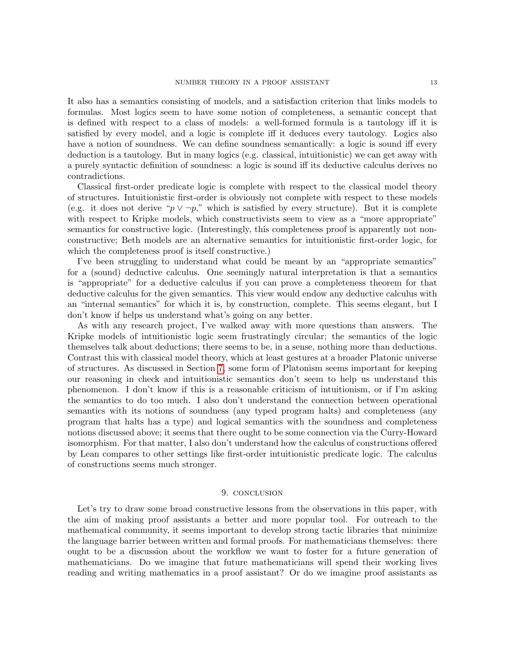It also has a semantics consisting of models, and a satisfaction criterion that links models to formulas. Most logics seem to have some notion of completeness, a semantic concept that is defined with respect to a class of models: a well-formed formula is a tautology iff it is satisfied by every model, and a logic is complete iff it deduces every tautology. Logics also have a notion of soundness. We can define soundness semantically: a logic is sound iff every deduction is a tautology. But in many logics (e.g. classical, intuitionistic) we can get away with a purely syntactic definition of soundness: a logic is sound iff its deductive calculus derives no contradictions.

Classical first-order predicate logic is complete with respect to the classical model theory of structures. Intuitionistic first-order is obviously not complete with respect to these models (e.g. it does not derive " $p \vee \neg p$ ," which is satisfied by every structure). But it is complete with respect to Kripke models, which constructivists seem to view as a "more appropriate" semantics for constructive logic. (Interestingly, this completeness proof is apparently not nonconstructive; Beth models are an alternative semantics for intuitionistic first-order logic, for which the completeness proof is itself constructive.)

I've been struggling to understand what could be meant by an "appropriate semantics" for a (sound) deductive calculus. One seemingly natural interpretation is that a semantics is "appropriate" for a deductive calculus if you can prove a completeness theorem for that deductive calculus for the given semantics. This view would endow any deductive calculus with an "internal semantics" for which it is, by construction, complete. This seems elegant, but I don't know if helps us understand what's going on any better.

As with any research project, I've walked away with more questions than answers. The Kripke models of intuitionistic logic seem frustratingly circular; the semantics of the logic themselves talk about deductions; there seems to be, in a sense, nothing more than deductions. Contrast this with classical model theory, which at least gestures at a broader Platonic universe of structures. As discussed in Section [7,](#page-10-0) some form of Platonism seems important for keeping our reasoning in check and intuitionistic semantics don't seem to help us understand this phenomenon. I don't know if this is a reasonable criticism of intuitionism, or if I'm asking the semantics to do too much. I also don't understand the connection between operational semantics with its notions of soundness (any typed program halts) and completeness (any program that halts has a type) and logical semantics with the soundness and completeness notions discussed above; it seems that there ought to be some connection via the Curry-Howard isomorphism. For that matter, I also don't understand how the calculus of constructions offered by Lean compares to other settings like first-order intuitionistic predicate logic. The calculus of constructions seems much stronger.

### 9. CONCLUSION

<span id="page-12-0"></span>Let's try to draw some broad constructive lessons from the observations in this paper, with the aim of making proof assistants a better and more popular tool. For outreach to the mathematical community, it seems important to develop strong tactic libraries that minimize the language barrier between written and formal proofs. For mathematicians themselves: there ought to be a discussion about the workflow we want to foster for a future generation of mathematicians. Do we imagine that future mathematicians will spend their working lives reading and writing mathematics in a proof assistant? Or do we imagine proof assistants as